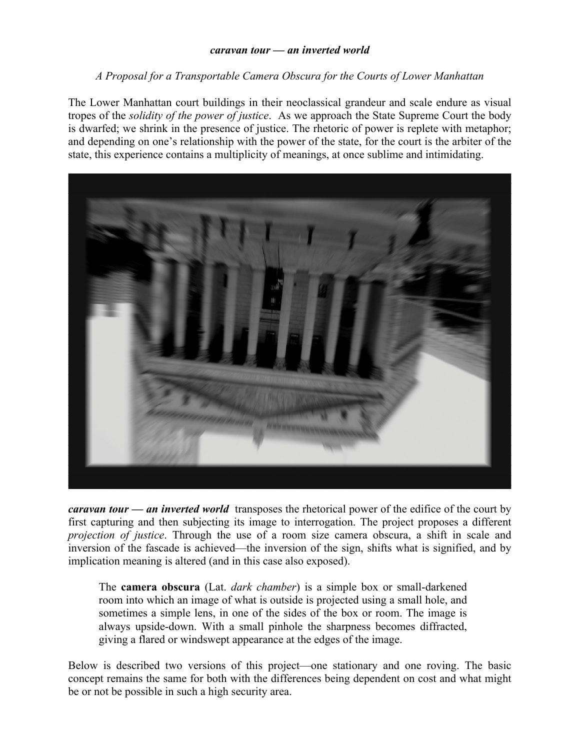## *caravan tour — an inverted world*

## *A Proposal for a Transportable Camera Obscura for the Courts of Lower Manhattan*

The Lower Manhattan court buildings in their neoclassical grandeur and scale endure as visual tropes of the *solidity of the power of justice*. As we approach the State Supreme Court the body is dwarfed; we shrink in the presence of justice. The rhetoric of power is replete with metaphor; and depending on one's relationship with the power of the state, for the court is the arbiter of the state, this experience contains a multiplicity of meanings, at once sublime and intimidating.



*caravan tour — an inverted world* transposes the rhetorical power of the edifice of the court by first capturing and then subjecting its image to interrogation. The project proposes a different *projection of justice*. Through the use of a room size camera obscura, a shift in scale and inversion of the fascade is achieved—the inversion of the sign, shifts what is signified, and by implication meaning is altered (and in this case also exposed).

The **camera obscura** (Lat. *dark chamber*) is a simple box or small-darkened room into which an image of what is outside is projected using a small hole, and sometimes a simple lens, in one of the sides of the box or room. The image is always upside-down. With a small pinhole the sharpness becomes diffracted, giving a flared or windswept appearance at the edges of the image.

Below is described two versions of this project—one stationary and one roving. The basic concept remains the same for both with the differences being dependent on cost and what might be or not be possible in such a high security area.